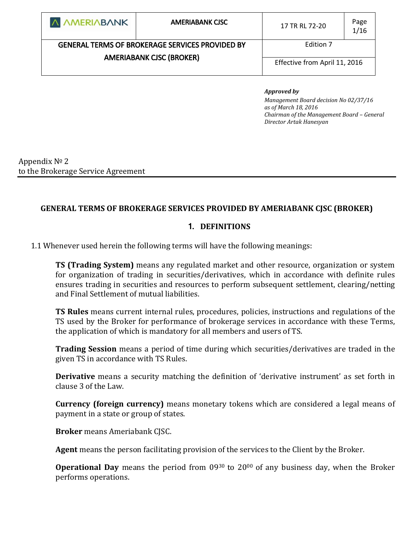| <b>A AMERIABANK</b>                                                                       | <b>AMERIABANK CISC</b> | 17 TR RL 72-20                | Page<br>1/16 |
|-------------------------------------------------------------------------------------------|------------------------|-------------------------------|--------------|
| <b>GENERAL TERMS OF BROKERAGE SERVICES PROVIDED BY</b><br><b>AMERIABANK CJSC (BROKER)</b> |                        | Edition 7                     |              |
|                                                                                           |                        | Effective from April 11, 2016 |              |

#### *Approved by*

*Management Board decision No 02/37/16 as of March 18, 2016 Chairman of the Management Board – General Director Artak Hanesyan*

Appendix № 2 to the Brokerage Service Agreement

### **GENERAL TERMS OF BROKERAGE SERVICES PROVIDED BY AMERIABANK CJSC (BROKER)**

#### **1. DEFINITIONS**

1.1 Whenever used herein the following terms will have the following meanings:

**TS (Trading System)** means any regulated market and other resource, organization or system for organization of trading in securities/derivatives, which in accordance with definite rules ensures trading in securities and resources to perform subsequent settlement, clearing/netting and Final Settlement of mutual liabilities.

**TS Rules** means current internal rules, procedures, policies, instructions and regulations of the TS used by the Broker for performance of brokerage services in accordance with these Terms, the application of which is mandatory for all members and users of TS.

**Trading Session** means a period of time during which securities/derivatives are traded in the given TS in accordance with TS Rules.

**Derivative** means a security matching the definition of 'derivative instrument' as set forth in clause 3 of the Law.

**Currency (foreign currency)** means monetary tokens which are considered a legal means of payment in a state or group of states.

**Broker** means Ameriabank CJSC.

**Agent** means the person facilitating provision of the services to the Client by the Broker.

**Operational Day** means the period from 09<sup>30</sup> to 20<sup>00</sup> of any business day, when the Broker performs operations.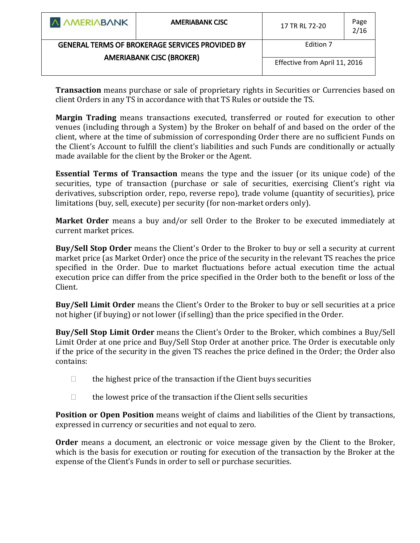| <b>A AMERIABANK</b>                                                                       | <b>AMERIABANK CISC</b> | 17 TR RL 72-20                | Page<br>2/16 |
|-------------------------------------------------------------------------------------------|------------------------|-------------------------------|--------------|
| <b>GENERAL TERMS OF BROKERAGE SERVICES PROVIDED BY</b><br><b>AMERIABANK CJSC (BROKER)</b> |                        | Edition 7                     |              |
|                                                                                           |                        | Effective from April 11, 2016 |              |

**Transaction** means purchase or sale of proprietary rights in Securities or Currencies based on client Orders in any TS in accordance with that TS Rules or outside the TS.

**Margin Trading** means transactions executed, transferred or routed for execution to other venues (including through a System) by the Broker on behalf of and based on the order of the client, where at the time of submission of corresponding Order there are no sufficient Funds on the Client's Account to fulfill the client's liabilities and such Funds are conditionally or actually made available for the client by the Broker or the Agent.

**Essential Terms of Transaction** means the type and the issuer (or its unique code) of the securities, type of transaction (purchase or sale of securities, exercising Client's right via derivatives, subscription order, repo, reverse repo), trade volume (quantity of securities), price limitations (buy, sell, execute) per security (for non-market orders only).

**Market Order** means a buy and/or sell Order to the Broker to be executed immediately at current market prices.

**Buy/Sell Stop Order** means the Client's Order to the Broker to buy or sell a security at current market price (as Market Order) once the price of the security in the relevant TS reaches the price specified in the Order. Due to market fluctuations before actual execution time the actual execution price can differ from the price specified in the Order both to the benefit or loss of the Client.

**Buy/Sell Limit Order** means the Client's Order to the Broker to buy or sell securities at a price not higher (if buying) or not lower (if selling) than the price specified in the Order.

**Buy/Sell Stop Limit Order** means the Client's Order to the Broker, which combines a Buy/Sell Limit Order at one price and Buy/Sell Stop Order at another price. The Order is executable only if the price of the security in the given TS reaches the price defined in the Order; the Order also contains:

- $\Box$  the highest price of the transaction if the Client buys securities
- $\Box$  the lowest price of the transaction if the Client sells securities

**Position or Open Position** means weight of claims and liabilities of the Client by transactions, expressed in currency or securities and not equal to zero.

**Order** means a document, an electronic or voice message given by the Client to the Broker, which is the basis for execution or routing for execution of the transaction by the Broker at the expense of the Client's Funds in order to sell or purchase securities.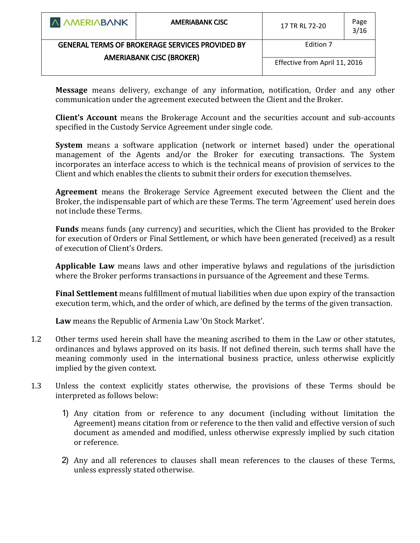| A AMERIABANK                                           | <b>AMERIABANK CISC</b> | 17 TR RL 72-20                | Page<br>3/16 |
|--------------------------------------------------------|------------------------|-------------------------------|--------------|
| <b>GENERAL TERMS OF BROKERAGE SERVICES PROVIDED BY</b> |                        | Edition 7                     |              |
| <b>AMERIABANK CJSC (BROKER)</b>                        |                        | Effective from April 11, 2016 |              |

**Message** means delivery, exchange of any information, notification, Order and any other communication under the agreement executed between the Client and the Broker.

**Client's Account** means the Brokerage Account and the securities account and sub-accounts specified in the Custody Service Agreement under single code.

**System** means a software application (network or internet based) under the operational management of the Agents and/or the Broker for executing transactions. The System incorporates an interface access to which is the technical means of provision of services to the Client and which enables the clients to submit their orders for execution themselves.

**Agreement** means the Brokerage Service Agreement executed between the Client and the Broker, the indispensable part of which are these Terms. The term 'Agreement' used herein does not include these Terms.

**Funds** means funds (any currency) and securities, which the Client has provided to the Broker for execution of Orders or Final Settlement, or which have been generated (received) as a result of execution of Client's Orders.

**Applicable Law** means laws and other imperative bylaws and regulations of the jurisdiction where the Broker performs transactions in pursuance of the Agreement and these Terms.

**Final Settlement** means fulfillment of mutual liabilities when due upon expiry of the transaction execution term, which, and the order of which, are defined by the terms of the given transaction.

**Law** means the Republic of Armenia Law 'On Stock Market'.

- 1.2 Other terms used herein shall have the meaning ascribed to them in the Law or other statutes, ordinances and bylaws approved on its basis. If not defined therein, such terms shall have the meaning commonly used in the international business practice, unless otherwise explicitly implied by the given context.
- 1.3 Unless the context explicitly states otherwise, the provisions of these Terms should be interpreted as follows below:
	- 1) Any citation from or reference to any document (including without limitation the Agreement) means citation from or reference to the then valid and effective version of such document as amended and modified, unless otherwise expressly implied by such citation or reference.
	- 2) Any and all references to clauses shall mean references to the clauses of these Terms, unless expressly stated otherwise.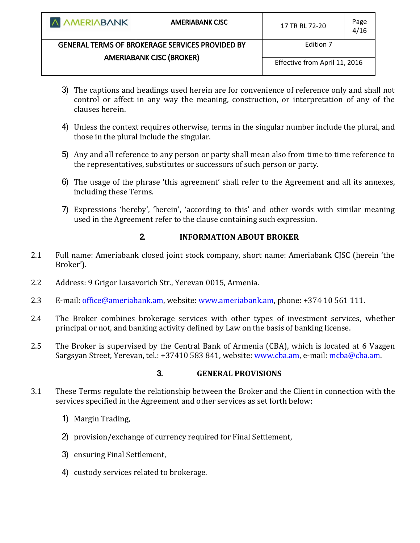| <b>AMERIABANK CISC</b>                                 | 17 TR RL 72-20 | Page<br>4/16                               |
|--------------------------------------------------------|----------------|--------------------------------------------|
| <b>GENERAL TERMS OF BROKERAGE SERVICES PROVIDED BY</b> |                |                                            |
|                                                        |                |                                            |
| <b>AMERIABANK CJSC (BROKER)</b>                        |                |                                            |
|                                                        |                | Edition 7<br>Effective from April 11, 2016 |

- 3) The captions and headings used herein are for convenience of reference only and shall not control or affect in any way the meaning, construction, or interpretation of any of the clauses herein.
- 4) Unless the context requires otherwise, terms in the singular number include the plural, and those in the plural include the singular.
- 5) Any and all reference to any person or party shall mean also from time to time reference to the representatives, substitutes or successors of such person or party.
- 6) The usage of the phrase 'this agreement' shall refer to the Agreement and all its annexes, including these Terms.
- 7) Expressions 'hereby', 'herein', 'according to this' and other words with similar meaning used in the Agreement refer to the clause containing such expression.

# **2. INFORMATION ABOUT BROKER**

- 2.1 Full name: Ameriabank closed joint stock company, short name: Ameriabank CJSC (herein 'the Broker').
- 2.2 Address: 9 Grigor Lusavorich Str., Yerevan 0015, Armenia.
- 2.3 E-mail: [office@ameriabank.am,](mailto:office@ameriabank.am) website: [www.ameriabank.am,](http://www.ameriabank.am/) phone: +374 10 561 111.
- 2.4 The Broker combines brokerage services with other types of investment services, whether principal or not, and banking activity defined by Law on the basis of banking license.
- 2.5 The Broker is supervised by the Central Bank of Armenia (CBA), which is located at 6 Vazgen Sargsyan Street, Yerevan, tel.: +37410 583 841, website[: www.cba.am,](http://www.cba.am/) e-mail: [mcba@cba.am.](mailto:mcba@cba.am)

# **3. GENERAL PROVISIONS**

- 3.1 These Terms regulate the relationship between the Broker and the Client in connection with the services specified in the Agreement and other services as set forth below:
	- 1) Margin Trading,
	- 2) provision/exchange of currency required for Final Settlement,
	- 3) ensuring Final Settlement,
	- 4) custody services related to brokerage.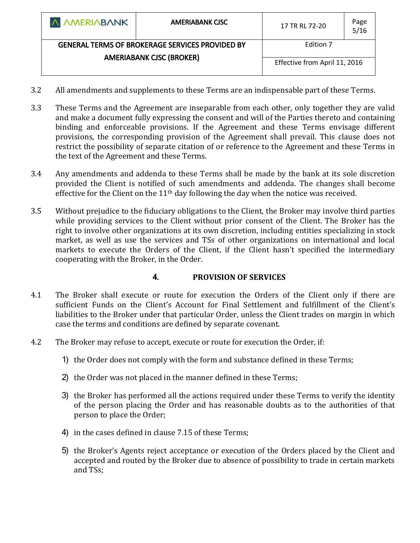| <b>A AMERIABANK</b>                                                                       | <b>AMERIABANK CISC</b> | 17 TR RL 72-20                | Page<br>5/16 |
|-------------------------------------------------------------------------------------------|------------------------|-------------------------------|--------------|
| <b>GENERAL TERMS OF BROKERAGE SERVICES PROVIDED BY</b><br><b>AMERIABANK CJSC (BROKER)</b> |                        | Edition 7                     |              |
|                                                                                           |                        | Effective from April 11, 2016 |              |

- 3.2 All amendments and supplements to these Terms are an indispensable part of these Terms.
- 3.3 These Terms and the Agreement are inseparable from each other, only together they are valid and make a document fully expressing the consent and will of the Parties thereto and containing binding and enforceable provisions. If the Agreement and these Terms envisage different provisions, the corresponding provision of the Agreement shall prevail. This clause does not restrict the possibility of separate citation of or reference to the Agreement and these Terms in the text of the Agreement and these Terms.
- 3.4 Any amendments and addenda to these Terms shall be made by the bank at its sole discretion provided the Client is notified of such amendments and addenda. The changes shall become effective for the Client on the 11<sup>th</sup> day following the day when the notice was received.
- 3.5 Without prejudice to the fiduciary obligations to the Client, the Broker may involve third parties while providing services to the Client without prior consent of the Client. The Broker has the right to involve other organizations at its own discretion, including entities specializing in stock market, as well as use the services and TSs of other organizations on international and local markets to execute the Orders of the Client, if the Client hasn't specified the intermediary cooperating with the Broker, in the Order.

# **4. PROVISION OF SERVICES**

- 4.1 The Broker shall execute or route for execution the Orders of the Client only if there are sufficient Funds on the Client's Account for Final Settlement and fulfillment of the Client's liabilities to the Broker under that particular Order, unless the Client trades on margin in which case the terms and conditions are defined by separate covenant.
- 4.2 The Broker may refuse to accept, execute or route for execution the Order, if:
	- 1) the Order does not comply with the form and substance defined in these Terms;
	- 2) the Order was not placed in the manner defined in these Terms;
	- 3) the Broker has performed all the actions required under these Terms to verify the identity of the person placing the Order and has reasonable doubts as to the authorities of that person to place the Order;
	- 4) in the cases defined in clause 7.15 of these Terms;
	- 5) the Broker's Agents reject acceptance or execution of the Orders placed by the Client and accepted and routed by the Broker due to absence of possibility to trade in certain markets and TSs;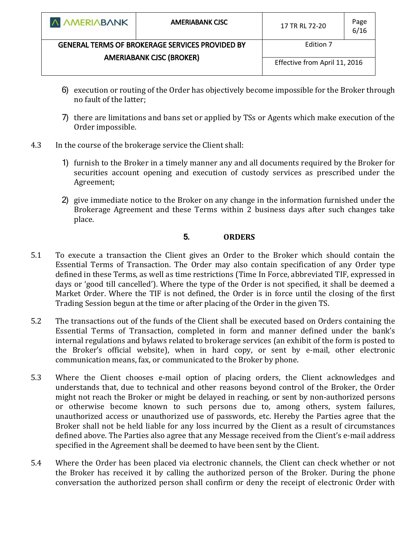| <b>A AMERIABANK</b>                                    | <b>AMERIABANK CISC</b> | 17 TR RL 72-20                | Page<br>6/16 |
|--------------------------------------------------------|------------------------|-------------------------------|--------------|
| <b>GENERAL TERMS OF BROKERAGE SERVICES PROVIDED BY</b> |                        | Edition 7                     |              |
| <b>AMERIABANK CJSC (BROKER)</b>                        |                        |                               |              |
|                                                        |                        | Effective from April 11, 2016 |              |
|                                                        |                        |                               |              |

- 6) execution or routing of the Order has objectively become impossible for the Broker through no fault of the latter;
- 7) there are limitations and bans set or applied by TSs or Agents which make execution of the Order impossible.
- 4.3 In the course of the brokerage service the Client shall:
	- 1) furnish to the Broker in a timely manner any and all documents required by the Broker for securities account opening and execution of custody services as prescribed under the Agreement;
	- 2) give immediate notice to the Broker on any change in the information furnished under the Brokerage Agreement and these Terms within 2 business days after such changes take place.

# **5. ORDERS**

- 5.1 To execute a transaction the Client gives an Order to the Broker which should contain the Essential Terms of Transaction. The Order may also contain specification of any Order type defined in these Terms, as well as time restrictions (Time In Force, abbreviated TIF, expressed in days or 'good till cancelled'). Where the type of the Order is not specified, it shall be deemed a Market Order. Where the TIF is not defined, the Order is in force until the closing of the first Trading Session begun at the time or after placing of the Order in the given TS.
- 5.2 The transactions out of the funds of the Client shall be executed based on Orders containing the Essential Terms of Transaction, completed in form and manner defined under the bank's internal regulations and bylaws related to brokerage services (an exhibit of the form is posted to the Broker's official website), when in hard copy, or sent by e-mail, other electronic communication means, fax, or communicated to the Broker by phone.
- 5.3 Where the Client chooses e-mail option of placing orders, the Client acknowledges and understands that, due to technical and other reasons beyond control of the Broker, the Order might not reach the Broker or might be delayed in reaching, or sent by non-authorized persons or otherwise become known to such persons due to, among others, system failures, unauthorized access or unauthorized use of passwords, etc. Hereby the Parties agree that the Broker shall not be held liable for any loss incurred by the Client as a result of circumstances defined above. The Parties also agree that any Message received from the Client's e-mail address specified in the Agreement shall be deemed to have been sent by the Client.
- 5.4 Where the Order has been placed via electronic channels, the Client can check whether or not the Broker has received it by calling the authorized person of the Broker. During the phone conversation the authorized person shall confirm or deny the receipt of electronic Order with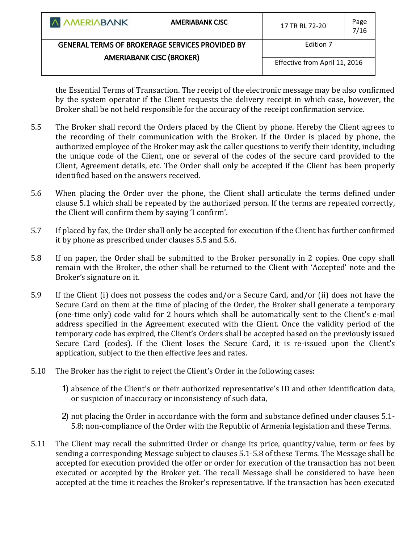| A AMERIABANK                                           | <b>AMERIABANK CISC</b> | 17 TR RL 72-20                | Page<br>7/16 |
|--------------------------------------------------------|------------------------|-------------------------------|--------------|
| <b>GENERAL TERMS OF BROKERAGE SERVICES PROVIDED BY</b> |                        | Edition 7                     |              |
| <b>AMERIABANK CJSC (BROKER)</b>                        |                        | Effective from April 11, 2016 |              |

the Essential Terms of Transaction. The receipt of the electronic message may be also confirmed by the system operator if the Client requests the delivery receipt in which case, however, the Broker shall be not held responsible for the accuracy of the receipt confirmation service.

- 5.5 The Broker shall record the Orders placed by the Client by phone. Hereby the Client agrees to the recording of their communication with the Broker. If the Order is placed by phone, the authorized employee of the Broker may ask the caller questions to verify their identity, including the unique code of the Client, one or several of the codes of the secure card provided to the Client, Agreement details, etc. The Order shall only be accepted if the Client has been properly identified based on the answers received.
- 5.6 When placing the Order over the phone, the Client shall articulate the terms defined under clause 5.1 which shall be repeated by the authorized person. If the terms are repeated correctly, the Client will confirm them by saying 'I confirm'.
- 5.7 If placed by fax, the Order shall only be accepted for execution if the Client has further confirmed it by phone as prescribed under clauses 5.5 and 5.6.
- 5.8 If on paper, the Order shall be submitted to the Broker personally in 2 copies. One copy shall remain with the Broker, the other shall be returned to the Client with 'Accepted' note and the Broker's signature on it.
- 5.9 If the Client (i) does not possess the codes and/or a Secure Card, and/or (ii) does not have the Secure Card on them at the time of placing of the Order, the Broker shall generate a temporary (one-time only) code valid for 2 hours which shall be automatically sent to the Client's e-mail address specified in the Agreement executed with the Client. Once the validity period of the temporary code has expired, the Client's Orders shall be accepted based on the previously issued Secure Card (codes). If the Client loses the Secure Card, it is re-issued upon the Client's application, subject to the then effective fees and rates.
- 5.10 The Broker has the right to reject the Client's Order in the following cases:
	- 1) absence of the Client's or their authorized representative's ID and other identification data, or suspicion of inaccuracy or inconsistency of such data,
	- 2) not placing the Order in accordance with the form and substance defined under clauses 5.1- 5.8; non-compliance of the Order with the Republic of Armenia legislation and these Terms.
- 5.11 The Client may recall the submitted Order or change its price, quantity/value, term or fees by sending a corresponding Message subject to clauses 5.1-5.8 of these Terms. The Message shall be accepted for execution provided the offer or order for execution of the transaction has not been executed or accepted by the Broker yet. The recall Message shall be considered to have been accepted at the time it reaches the Broker's representative. If the transaction has been executed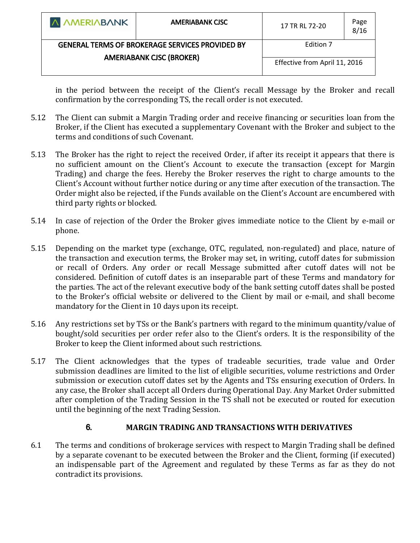| A AMERIABANK                                           | <b>AMERIABANK CISC</b> | 17 TR RL 72-20                | Page<br>8/16 |
|--------------------------------------------------------|------------------------|-------------------------------|--------------|
| <b>GENERAL TERMS OF BROKERAGE SERVICES PROVIDED BY</b> |                        | Edition 7                     |              |
| <b>AMERIABANK CJSC (BROKER)</b>                        |                        | Effective from April 11, 2016 |              |

in the period between the receipt of the Client's recall Message by the Broker and recall confirmation by the corresponding TS, the recall order is not executed.

- 5.12 The Client can submit a Margin Trading order and receive financing or securities loan from the Broker, if the Client has executed a supplementary Covenant with the Broker and subject to the terms and conditions of such Covenant.
- 5.13 The Broker has the right to reject the received Order, if after its receipt it appears that there is no sufficient amount on the Client's Account to execute the transaction (except for Margin Trading) and charge the fees. Hereby the Broker reserves the right to charge amounts to the Client's Account without further notice during or any time after execution of the transaction. The Order might also be rejected, if the Funds available on the Client's Account are encumbered with third party rights or blocked.
- 5.14 In case of rejection of the Order the Broker gives immediate notice to the Client by e-mail or phone.
- 5.15 Depending on the market type (exchange, OTC, regulated, non-regulated) and place, nature of the transaction and execution terms, the Broker may set, in writing, cutoff dates for submission or recall of Orders. Any order or recall Message submitted after cutoff dates will not be considered. Definition of cutoff dates is an inseparable part of these Terms and mandatory for the parties. The act of the relevant executive body of the bank setting cutoff dates shall be posted to the Broker's official website or delivered to the Client by mail or e-mail, and shall become mandatory for the Client in 10 days upon its receipt.
- 5.16 Any restrictions set by TSs or the Bank's partners with regard to the minimum quantity/value of bought/sold securities per order refer also to the Client's orders. It is the responsibility of the Broker to keep the Client informed about such restrictions.
- 5.17 The Client acknowledges that the types of tradeable securities, trade value and Order submission deadlines are limited to the list of eligible securities, volume restrictions and Order submission or execution cutoff dates set by the Agents and TSs ensuring execution of Orders. In any case, the Broker shall accept all Orders during Operational Day. Any Market Order submitted after completion of the Trading Session in the TS shall not be executed or routed for execution until the beginning of the next Trading Session.

# **6. MARGIN TRADING AND TRANSACTIONS WITH DERIVATIVES**

6.1 The terms and conditions of brokerage services with respect to Margin Trading shall be defined by a separate covenant to be executed between the Broker and the Client, forming (if executed) an indispensable part of the Agreement and regulated by these Terms as far as they do not contradict its provisions.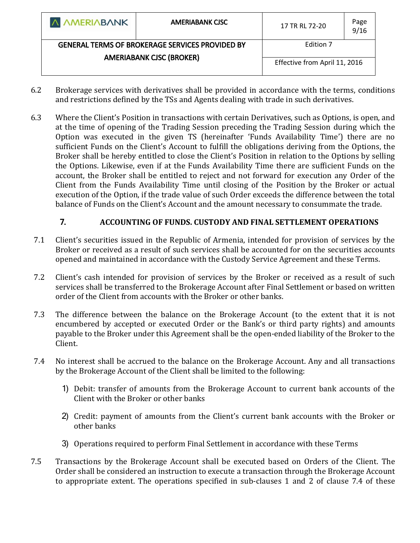| <b>A AMERIABANK</b>                                                                       | <b>AMERIABANK CISC</b> | 17 TR RL 72-20                | Page<br>9/16 |
|-------------------------------------------------------------------------------------------|------------------------|-------------------------------|--------------|
| <b>GENERAL TERMS OF BROKERAGE SERVICES PROVIDED BY</b><br><b>AMERIABANK CJSC (BROKER)</b> |                        | Edition 7                     |              |
|                                                                                           |                        | Effective from April 11, 2016 |              |

- 6.2 Brokerage services with derivatives shall be provided in accordance with the terms, conditions and restrictions defined by the TSs and Agents dealing with trade in such derivatives.
- 6.3 Where the Client's Position in transactions with certain Derivatives, such as Options, is open, and at the time of opening of the Trading Session preceding the Trading Session during which the Option was executed in the given TS (hereinafter 'Funds Availability Time') there are no sufficient Funds on the Client's Account to fulfill the obligations deriving from the Options, the Broker shall be hereby entitled to close the Client's Position in relation to the Options by selling the Options. Likewise, even if at the Funds Availability Time there are sufficient Funds on the account, the Broker shall be entitled to reject and not forward for execution any Order of the Client from the Funds Availability Time until closing of the Position by the Broker or actual execution of the Option, if the trade value of such Order exceeds the difference between the total balance of Funds on the Client's Account and the amount necessary to consummate the trade.

# **7. ACCOUNTING OF FUNDS. CUSTODY AND FINAL SETTLEMENT OPERATIONS**

- 7.1 Client's securities issued in the Republic of Armenia, intended for provision of services by the Broker or received as a result of such services shall be accounted for on the securities accounts opened and maintained in accordance with the Custody Service Agreement and these Terms.
- 7.2 Client's cash intended for provision of services by the Broker or received as a result of such services shall be transferred to the Brokerage Account after Final Settlement or based on written order of the Client from accounts with the Broker or other banks.
- 7.3 The difference between the balance on the Brokerage Account (to the extent that it is not encumbered by accepted or executed Order or the Bank's or third party rights) and amounts payable to the Broker under this Agreement shall be the open-ended liability of the Broker to the Client.
- 7.4 No interest shall be accrued to the balance on the Brokerage Account. Any and all transactions by the Brokerage Account of the Client shall be limited to the following:
	- 1) Debit: transfer of amounts from the Brokerage Account to current bank accounts of the Client with the Broker or other banks
	- 2) Credit: payment of amounts from the Client's current bank accounts with the Broker or other banks
	- 3) Operations required to perform Final Settlement in accordance with these Terms
- 7.5 Transactions by the Brokerage Account shall be executed based on Orders of the Client. The Order shall be considered an instruction to execute a transaction through the Brokerage Account to appropriate extent. The operations specified in sub-clauses 1 and 2 of clause 7.4 of these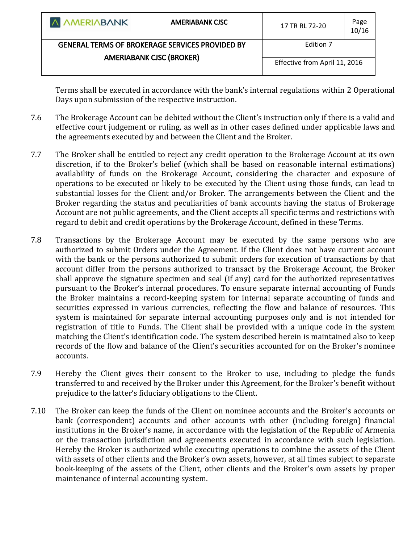| A AMERIABANK                                           | <b>AMERIABANK CISC</b> | 17 TR RL 72-20                | Page<br>10/16 |
|--------------------------------------------------------|------------------------|-------------------------------|---------------|
| <b>GENERAL TERMS OF BROKERAGE SERVICES PROVIDED BY</b> |                        | Edition 7                     |               |
| <b>AMERIABANK CJSC (BROKER)</b>                        |                        | Effective from April 11, 2016 |               |
|                                                        |                        |                               |               |

Terms shall be executed in accordance with the bank's internal regulations within 2 Operational Days upon submission of the respective instruction.

- 7.6 The Brokerage Account can be debited without the Client's instruction only if there is a valid and effective court judgement or ruling, as well as in other cases defined under applicable laws and the agreements executed by and between the Client and the Broker.
- 7.7 The Broker shall be entitled to reject any credit operation to the Brokerage Account at its own discretion, if to the Broker's belief (which shall be based on reasonable internal estimations) availability of funds on the Brokerage Account, considering the character and exposure of operations to be executed or likely to be executed by the Client using those funds, can lead to substantial losses for the Client and/or Broker. The arrangements between the Client and the Broker regarding the status and peculiarities of bank accounts having the status of Brokerage Account are not public agreements, and the Client accepts all specific terms and restrictions with regard to debit and credit operations by the Brokerage Account, defined in these Terms.
- 7.8 Transactions by the Brokerage Account may be executed by the same persons who are authorized to submit Orders under the Agreement. If the Client does not have current account with the bank or the persons authorized to submit orders for execution of transactions by that account differ from the persons authorized to transact by the Brokerage Account, the Broker shall approve the signature specimen and seal (if any) card for the authorized representatives pursuant to the Broker's internal procedures. To ensure separate internal accounting of Funds the Broker maintains a record-keeping system for internal separate accounting of funds and securities expressed in various currencies, reflecting the flow and balance of resources. This system is maintained for separate internal accounting purposes only and is not intended for registration of title to Funds. The Client shall be provided with a unique code in the system matching the Client's identification code. The system described herein is maintained also to keep records of the flow and balance of the Client's securities accounted for on the Broker's nominee accounts.
- 7.9 Hereby the Client gives their consent to the Broker to use, including to pledge the funds transferred to and received by the Broker under this Agreement, for the Broker's benefit without prejudice to the latter's fiduciary obligations to the Client.
- 7.10 The Broker can keep the funds of the Client on nominee accounts and the Broker's accounts or bank (correspondent) accounts and other accounts with other (including foreign) financial institutions in the Broker's name, in accordance with the legislation of the Republic of Armenia or the transaction jurisdiction and agreements executed in accordance with such legislation. Hereby the Broker is authorized while executing operations to combine the assets of the Client with assets of other clients and the Broker's own assets, however, at all times subject to separate book-keeping of the assets of the Client, other clients and the Broker's own assets by proper maintenance of internal accounting system.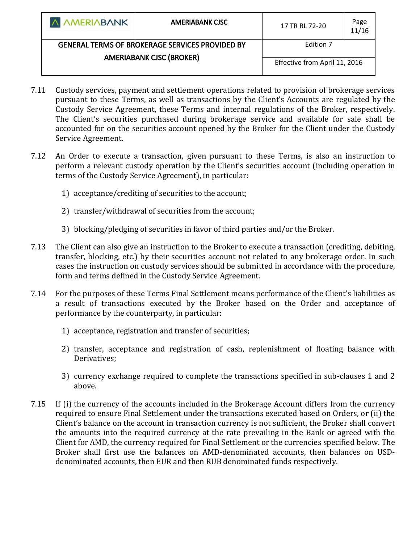| <b>A AMERIABANK</b>                                    | <b>AMERIABANK CISC</b> | 17 TR RL 72-20                | Page<br>11/16 |
|--------------------------------------------------------|------------------------|-------------------------------|---------------|
| <b>GENERAL TERMS OF BROKERAGE SERVICES PROVIDED BY</b> |                        | Edition 7                     |               |
| <b>AMERIABANK CJSC (BROKER)</b>                        |                        |                               |               |
|                                                        |                        | Effective from April 11, 2016 |               |
|                                                        |                        |                               |               |

- 7.11 Custody services, payment and settlement operations related to provision of brokerage services pursuant to these Terms, as well as transactions by the Client's Accounts are regulated by the Custody Service Agreement, these Terms and internal regulations of the Broker, respectively. The Client's securities purchased during brokerage service and available for sale shall be accounted for on the securities account opened by the Broker for the Client under the Custody Service Agreement.
- 7.12 An Order to execute a transaction, given pursuant to these Terms, is also an instruction to perform a relevant custody operation by the Client's securities account (including operation in terms of the Custody Service Agreement), in particular:
	- 1) acceptance/crediting of securities to the account;
	- 2) transfer/withdrawal of securities from the account;
	- 3) blocking/pledging of securities in favor of third parties and/or the Broker.
- 7.13 The Client can also give an instruction to the Broker to execute a transaction (crediting, debiting, transfer, blocking, etc.) by their securities account not related to any brokerage order. In such cases the instruction on custody services should be submitted in accordance with the procedure, form and terms defined in the Custody Service Agreement.
- 7.14 For the purposes of these Terms Final Settlement means performance of the Client's liabilities as a result of transactions executed by the Broker based on the Order and acceptance of performance by the counterparty, in particular:
	- 1) acceptance, registration and transfer of securities;
	- 2) transfer, acceptance and registration of cash, replenishment of floating balance with Derivatives;
	- 3) currency exchange required to complete the transactions specified in sub-clauses 1 and 2 above.
- 7.15 If (i) the currency of the accounts included in the Brokerage Account differs from the currency required to ensure Final Settlement under the transactions executed based on Orders, or (ii) the Client's balance on the account in transaction currency is not sufficient, the Broker shall convert the amounts into the required currency at the rate prevailing in the Bank or agreed with the Client for AMD, the currency required for Final Settlement or the currencies specified below. The Broker shall first use the balances on AMD-denominated accounts, then balances on USDdenominated accounts, then EUR and then RUB denominated funds respectively.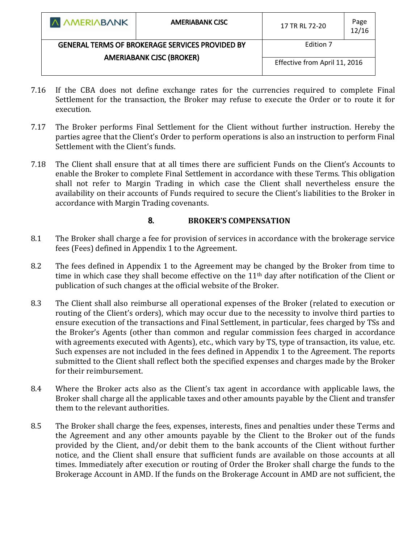| <b>A AMERIABANK</b>                                    | <b>AMERIABANK CISC</b> | 17 TR RL 72-20                | Page<br>12/16 |
|--------------------------------------------------------|------------------------|-------------------------------|---------------|
| <b>GENERAL TERMS OF BROKERAGE SERVICES PROVIDED BY</b> |                        | Edition 7                     |               |
| <b>AMERIABANK CJSC (BROKER)</b>                        |                        |                               |               |
|                                                        |                        | Effective from April 11, 2016 |               |
|                                                        |                        |                               |               |

- 7.16 If the CBA does not define exchange rates for the currencies required to complete Final Settlement for the transaction, the Broker may refuse to execute the Order or to route it for execution.
- 7.17 The Broker performs Final Settlement for the Client without further instruction. Hereby the parties agree that the Client's Order to perform operations is also an instruction to perform Final Settlement with the Client's funds.
- 7.18 The Client shall ensure that at all times there are sufficient Funds on the Client's Accounts to enable the Broker to complete Final Settlement in accordance with these Terms. This obligation shall not refer to Margin Trading in which case the Client shall nevertheless ensure the availability on their accounts of Funds required to secure the Client's liabilities to the Broker in accordance with Margin Trading covenants.

# **8. BROKER'S COMPENSATION**

- 8.1 The Broker shall charge a fee for provision of services in accordance with the brokerage service fees (Fees) defined in Appendix 1 to the Agreement.
- 8.2 The fees defined in Appendix 1 to the Agreement may be changed by the Broker from time to time in which case they shall become effective on the 11<sup>th</sup> day after notification of the Client or publication of such changes at the official website of the Broker.
- 8.3 The Client shall also reimburse all operational expenses of the Broker (related to execution or routing of the Client's orders), which may occur due to the necessity to involve third parties to ensure execution of the transactions and Final Settlement, in particular, fees charged by TSs and the Broker's Agents (other than common and regular commission fees charged in accordance with agreements executed with Agents), etc., which vary by TS, type of transaction, its value, etc. Such expenses are not included in the fees defined in Appendix 1 to the Agreement. The reports submitted to the Client shall reflect both the specified expenses and charges made by the Broker for their reimbursement.
- 8.4 Where the Broker acts also as the Client's tax agent in accordance with applicable laws, the Broker shall charge all the applicable taxes and other amounts payable by the Client and transfer them to the relevant authorities.
- 8.5 The Broker shall charge the fees, expenses, interests, fines and penalties under these Terms and the Agreement and any other amounts payable by the Client to the Broker out of the funds provided by the Client, and/or debit them to the bank accounts of the Client without further notice, and the Client shall ensure that sufficient funds are available on those accounts at all times. Immediately after execution or routing of Order the Broker shall charge the funds to the Brokerage Account in AMD. If the funds on the Brokerage Account in AMD are not sufficient, the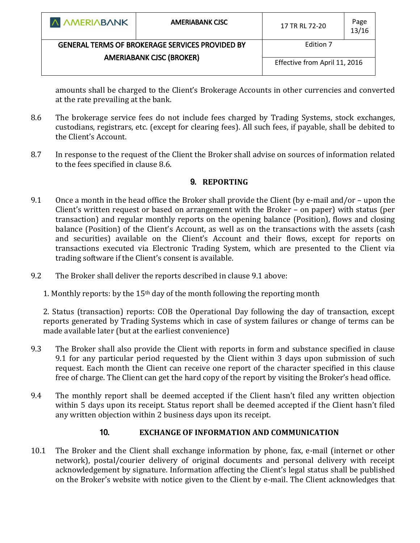| A AMERIABANK                                           | <b>AMERIABANK CISC</b> | 17 TR RL 72-20                | Page<br>13/16 |
|--------------------------------------------------------|------------------------|-------------------------------|---------------|
| <b>GENERAL TERMS OF BROKERAGE SERVICES PROVIDED BY</b> |                        | Edition 7                     |               |
| <b>AMERIABANK CJSC (BROKER)</b>                        |                        |                               |               |
|                                                        |                        | Effective from April 11, 2016 |               |
|                                                        |                        |                               |               |

amounts shall be charged to the Client's Brokerage Accounts in other currencies and converted at the rate prevailing at the bank.

- 8.6 The brokerage service fees do not include fees charged by Trading Systems, stock exchanges, custodians, registrars, etc. (except for clearing fees). All such fees, if payable, shall be debited to the Client's Account.
- 8.7 In response to the request of the Client the Broker shall advise on sources of information related to the fees specified in clause 8.6.

# **9. REPORTING**

- 9.1 Once a month in the head office the Broker shall provide the Client (by e-mail and/or upon the Client's written request or based on arrangement with the Broker – on paper) with status (per transaction) and regular monthly reports on the opening balance (Position), flows and closing balance (Position) of the Client's Account, as well as on the transactions with the assets (cash and securities) available on the Client's Account and their flows, except for reports on transactions executed via Electronic Trading System, which are presented to the Client via trading software if the Client's consent is available.
- 9.2 The Broker shall deliver the reports described in clause 9.1 above:

1. Monthly reports: by the  $15<sup>th</sup>$  day of the month following the reporting month

2. Status (transaction) reports: COB the Operational Day following the day of transaction, except reports generated by Trading Systems which in case of system failures or change of terms can be made available later (but at the earliest convenience)

- 9.3 The Broker shall also provide the Client with reports in form and substance specified in clause 9.1 for any particular period requested by the Client within 3 days upon submission of such request. Each month the Client can receive one report of the character specified in this clause free of charge. The Client can get the hard copy of the report by visiting the Broker's head office.
- 9.4 The monthly report shall be deemed accepted if the Client hasn't filed any written objection within 5 days upon its receipt. Status report shall be deemed accepted if the Client hasn't filed any written objection within 2 business days upon its receipt.

# **10. EXCHANGE OF INFORMATION AND COMMUNICATION**

10.1 The Broker and the Client shall exchange information by phone, fax, e-mail (internet or other network), postal/courier delivery of original documents and personal delivery with receipt acknowledgement by signature. Information affecting the Client's legal status shall be published on the Broker's website with notice given to the Client by e-mail. The Client acknowledges that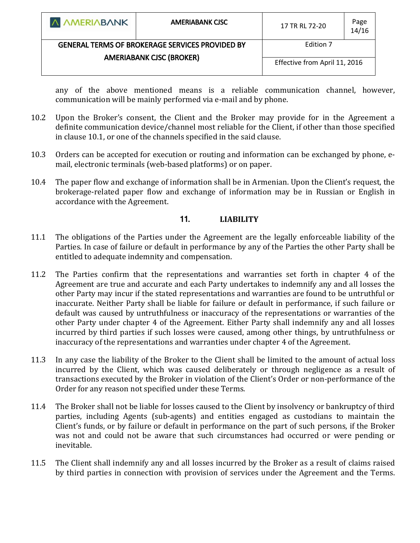| <b>A AMERIABANK</b>                                    | <b>AMERIABANK CISC</b> | 17 TR RL 72-20                | Page<br>14/16 |
|--------------------------------------------------------|------------------------|-------------------------------|---------------|
| <b>GENERAL TERMS OF BROKERAGE SERVICES PROVIDED BY</b> |                        | Edition 7                     |               |
| <b>AMERIABANK CJSC (BROKER)</b>                        |                        | Effective from April 11, 2016 |               |

any of the above mentioned means is a reliable communication channel, however, communication will be mainly performed via e-mail and by phone.

- 10.2 Upon the Broker's consent, the Client and the Broker may provide for in the Agreement a definite communication device/channel most reliable for the Client, if other than those specified in clause 10.1, or one of the channels specified in the said clause.
- 10.3 Orders can be accepted for execution or routing and information can be exchanged by phone, email, electronic terminals (web-based platforms) or on paper.
- 10.4 The paper flow and exchange of information shall be in Armenian. Upon the Client's request, the brokerage-related paper flow and exchange of information may be in Russian or English in accordance with the Agreement.

### **11. LIABILITY**

- 11.1 The obligations of the Parties under the Agreement are the legally enforceable liability of the Parties. In case of failure or default in performance by any of the Parties the other Party shall be entitled to adequate indemnity and compensation.
- 11.2 The Parties confirm that the representations and warranties set forth in chapter 4 of the Agreement are true and accurate and each Party undertakes to indemnify any and all losses the other Party may incur if the stated representations and warranties are found to be untruthful or inaccurate. Neither Party shall be liable for failure or default in performance, if such failure or default was caused by untruthfulness or inaccuracy of the representations or warranties of the other Party under chapter 4 of the Agreement. Either Party shall indemnify any and all losses incurred by third parties if such losses were caused, among other things, by untruthfulness or inaccuracy of the representations and warranties under chapter 4 of the Agreement.
- 11.3 In any case the liability of the Broker to the Client shall be limited to the amount of actual loss incurred by the Client, which was caused deliberately or through negligence as a result of transactions executed by the Broker in violation of the Client's Order or non-performance of the Order for any reason not specified under these Terms.
- 11.4 The Broker shall not be liable for losses caused to the Client by insolvency or bankruptcy of third parties, including Agents (sub-agents) and entities engaged as custodians to maintain the Client's funds, or by failure or default in performance on the part of such persons, if the Broker was not and could not be aware that such circumstances had occurred or were pending or inevitable.
- 11.5 The Client shall indemnify any and all losses incurred by the Broker as a result of claims raised by third parties in connection with provision of services under the Agreement and the Terms.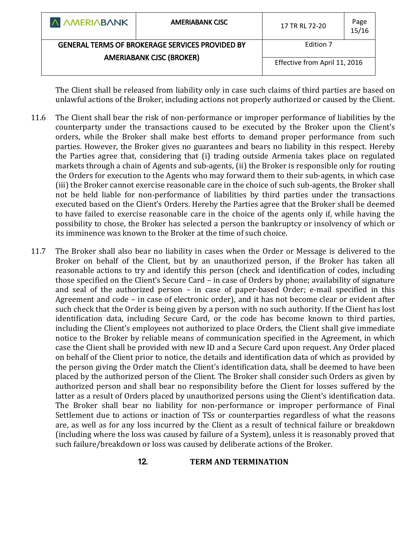| <b>A AMERIABANK</b>                                    | <b>AMERIABANK CISC</b> | 17 TR RL 72-20                | Page<br>15/16 |
|--------------------------------------------------------|------------------------|-------------------------------|---------------|
| <b>GENERAL TERMS OF BROKERAGE SERVICES PROVIDED BY</b> |                        | Edition 7                     |               |
| <b>AMERIABANK CJSC (BROKER)</b>                        |                        | Effective from April 11, 2016 |               |

The Client shall be released from liability only in case such claims of third parties are based on unlawful actions of the Broker, including actions not properly authorized or caused by the Client.

- 11.6 The Client shall bear the risk of non-performance or improper performance of liabilities by the counterparty under the transactions caused to be executed by the Broker upon the Client's orders, while the Broker shall make best efforts to demand proper performance from such parties. However, the Broker gives no guarantees and bears no liability in this respect. Hereby the Parties agree that, considering that (i) trading outside Armenia takes place on regulated markets through a chain of Agents and sub-agents, (ii) the Broker is responsible only for routing the Orders for execution to the Agents who may forward them to their sub-agents, in which case (iii) the Broker cannot exercise reasonable care in the choice of such sub-agents, the Broker shall not be held liable for non-performance of liabilities by third parties under the transactions executed based on the Client's Orders. Hereby the Parties agree that the Broker shall be deemed to have failed to exercise reasonable care in the choice of the agents only if, while having the possibility to chose, the Broker has selected a person the bankruptcy or insolvency of which or its imminence was known to the Broker at the time of such choice.
- 11.7 The Broker shall also bear no liability in cases when the Order or Message is delivered to the Broker on behalf of the Client, but by an unauthorized person, if the Broker has taken all reasonable actions to try and identify this person (check and identification of codes, including those specified on the Client's Secure Card – in case of Orders by phone; availability of signature and seal of the authorized person – in case of paper-based Order; e-mail specified in this Agreement and code – in case of electronic order), and it has not become clear or evident after such check that the Order is being given by a person with no such authority. If the Client has lost identification data, including Secure Card, or the code has become known to third parties, including the Client's employees not authorized to place Orders, the Client shall give immediate notice to the Broker by reliable means of communication specified in the Agreement, in which case the Client shall be provided with new ID and a Secure Card upon request. Any Order placed on behalf of the Client prior to notice, the details and identification data of which as provided by the person giving the Order match the Client's identification data, shall be deemed to have been placed by the authorized person of the Client. The Broker shall consider such Orders as given by authorized person and shall bear no responsibility before the Client for losses suffered by the latter as a result of Orders placed by unauthorized persons using the Client's identification data. The Broker shall bear no liability for non-performance or improper performance of Final Settlement due to actions or inaction of TSs or counterparties regardless of what the reasons are, as well as for any loss incurred by the Client as a result of technical failure or breakdown (including where the loss was caused by failure of a System), unless it is reasonably proved that such failure/breakdown or loss was caused by deliberate actions of the Broker.

### **12. TERM AND TERMINATION**